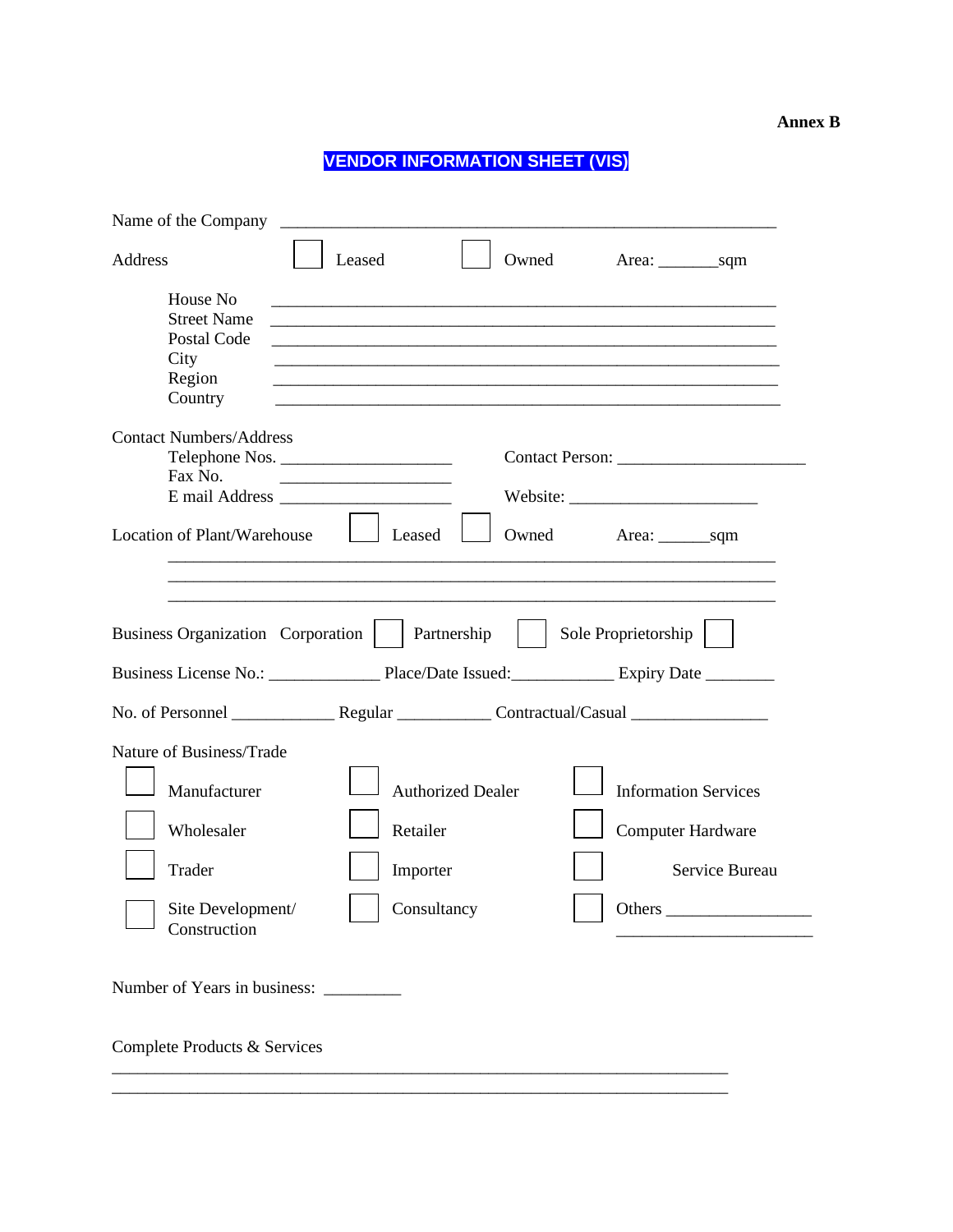## **VENDOR INFORMATION SHEET (VIS)**

| Name of the Company                                                        | <u> 1989 - Johann Harry Harry Harry Harry Harry Harry Harry Harry Harry Harry Harry Harry Harry Harry Harry Harry Harry Harry Harry Harry Harry Harry Harry Harry Harry Harry Harry Harry Harry Harry Harry Harry Harry Harry Ha</u> |                          |                                                                                                                                                                                                                                                                                                                                                                                                                                                                                                                                                             |                             |                |
|----------------------------------------------------------------------------|--------------------------------------------------------------------------------------------------------------------------------------------------------------------------------------------------------------------------------------|--------------------------|-------------------------------------------------------------------------------------------------------------------------------------------------------------------------------------------------------------------------------------------------------------------------------------------------------------------------------------------------------------------------------------------------------------------------------------------------------------------------------------------------------------------------------------------------------------|-----------------------------|----------------|
| Address                                                                    | Leased                                                                                                                                                                                                                               |                          | Owned                                                                                                                                                                                                                                                                                                                                                                                                                                                                                                                                                       |                             |                |
| House No<br><b>Street Name</b><br>Postal Code<br>City<br>Region<br>Country |                                                                                                                                                                                                                                      |                          | <u> 1989 - Johann John Harry, mars ar y brening ar y brening ar y brening ar y brening ar y brening ar y brening</u><br><u> 1989 - Johann John Harry Harry Harry Harry Harry Harry Harry Harry Harry Harry Harry Harry Harry Harry Harry</u><br><u> 1989 - John Stein, Amerikaansk politiker († 1908)</u><br><u> 1989 - Johann Stoff, deutscher Stoff, der Stoff, der Stoff, der Stoff, der Stoff, der Stoff, der Stoff, der S</u><br><u> 1989 - Johann Stoff, deutscher Stoff, der Stoff, der Stoff, der Stoff, der Stoff, der Stoff, der Stoff, der S</u> |                             |                |
| <b>Contact Numbers/Address</b><br>Telephone Nos.<br>Fax No.                |                                                                                                                                                                                                                                      |                          |                                                                                                                                                                                                                                                                                                                                                                                                                                                                                                                                                             |                             |                |
| <b>Location of Plant/Warehouse</b>                                         |                                                                                                                                                                                                                                      | Leased                   | Owned                                                                                                                                                                                                                                                                                                                                                                                                                                                                                                                                                       |                             |                |
| Business Organization Corporation                                          |                                                                                                                                                                                                                                      | Partnership              |                                                                                                                                                                                                                                                                                                                                                                                                                                                                                                                                                             | Sole Proprietorship         |                |
|                                                                            |                                                                                                                                                                                                                                      |                          |                                                                                                                                                                                                                                                                                                                                                                                                                                                                                                                                                             |                             |                |
|                                                                            |                                                                                                                                                                                                                                      |                          |                                                                                                                                                                                                                                                                                                                                                                                                                                                                                                                                                             |                             |                |
| Nature of Business/Trade                                                   |                                                                                                                                                                                                                                      |                          |                                                                                                                                                                                                                                                                                                                                                                                                                                                                                                                                                             |                             |                |
| Manufacturer                                                               |                                                                                                                                                                                                                                      | <b>Authorized Dealer</b> |                                                                                                                                                                                                                                                                                                                                                                                                                                                                                                                                                             | <b>Information Services</b> |                |
| Wholesaler                                                                 |                                                                                                                                                                                                                                      | Retailer                 |                                                                                                                                                                                                                                                                                                                                                                                                                                                                                                                                                             | <b>Computer Hardware</b>    |                |
| Trader                                                                     |                                                                                                                                                                                                                                      | Importer                 |                                                                                                                                                                                                                                                                                                                                                                                                                                                                                                                                                             |                             | Service Bureau |
| Site Development/<br>Construction                                          |                                                                                                                                                                                                                                      | Consultancy              |                                                                                                                                                                                                                                                                                                                                                                                                                                                                                                                                                             | Others                      |                |
| Number of Years in business:                                               |                                                                                                                                                                                                                                      |                          |                                                                                                                                                                                                                                                                                                                                                                                                                                                                                                                                                             |                             |                |
| Complete Products & Services                                               |                                                                                                                                                                                                                                      |                          |                                                                                                                                                                                                                                                                                                                                                                                                                                                                                                                                                             |                             |                |

\_\_\_\_\_\_\_\_\_\_\_\_\_\_\_\_\_\_\_\_\_\_\_\_\_\_\_\_\_\_\_\_\_\_\_\_\_\_\_\_\_\_\_\_\_\_\_\_\_\_\_\_\_\_\_\_\_\_\_\_\_\_\_\_\_\_\_\_\_\_\_\_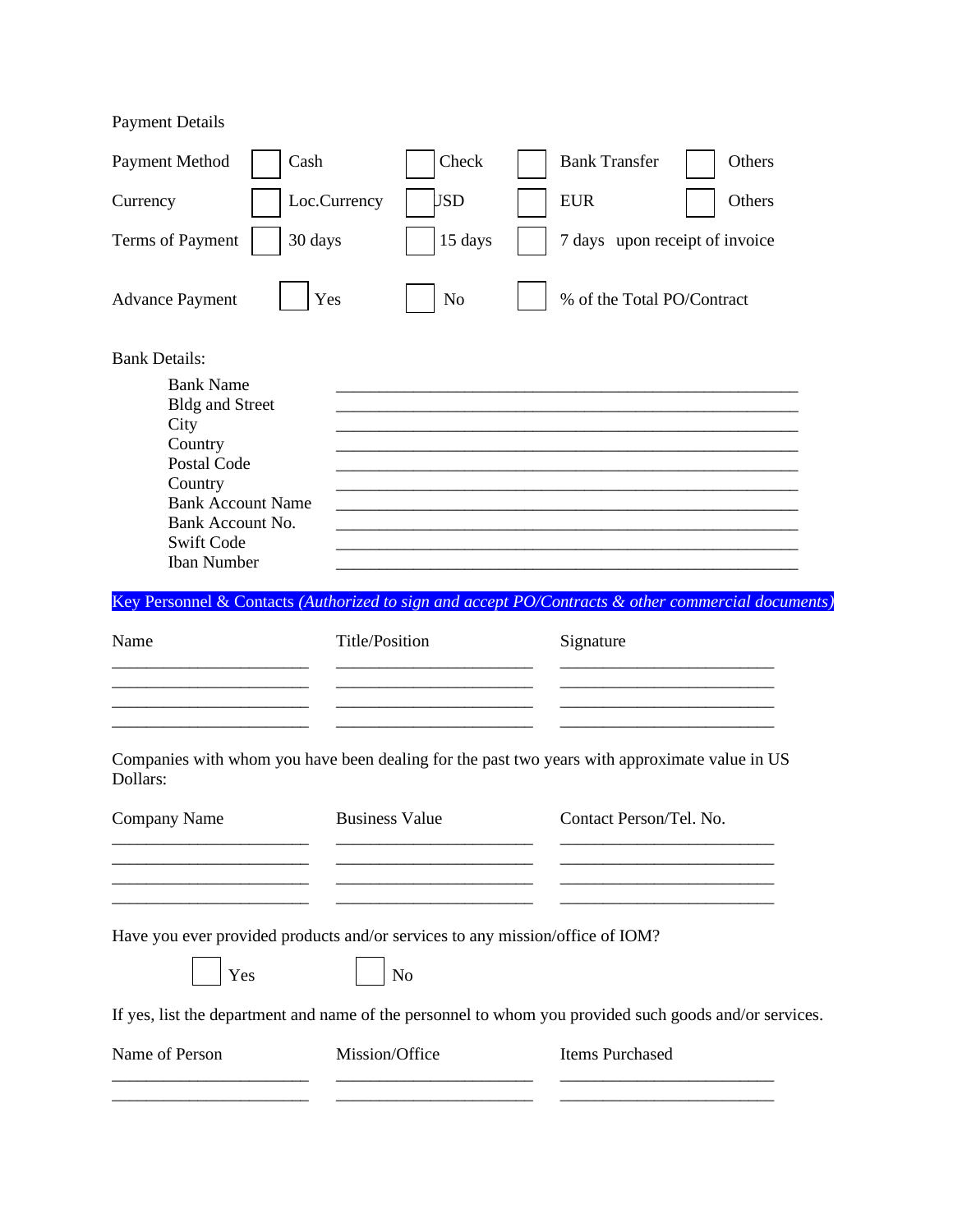| <b>Payment Details</b>                                                                                                                                                                                            |                       |                |                                |        |
|-------------------------------------------------------------------------------------------------------------------------------------------------------------------------------------------------------------------|-----------------------|----------------|--------------------------------|--------|
| <b>Payment Method</b>                                                                                                                                                                                             | Cash                  | Check          | <b>Bank Transfer</b>           | Others |
| Currency                                                                                                                                                                                                          | Loc.Currency          | <b>JSD</b>     | <b>EUR</b>                     | Others |
| Terms of Payment                                                                                                                                                                                                  | 30 days               | 15 days        | 7 days upon receipt of invoice |        |
| <b>Advance Payment</b>                                                                                                                                                                                            | Yes                   | N <sub>o</sub> | % of the Total PO/Contract     |        |
| <b>Bank Details:</b><br><b>Bank Name</b><br><b>Bldg and Street</b><br>City<br>Country<br><b>Postal Code</b><br>Country<br><b>Bank Account Name</b><br>Bank Account No.<br><b>Swift Code</b><br><b>Iban Number</b> |                       |                |                                |        |
| Key Personnel & Contacts (Authorized to sign and accept PO/Contracts & other commercial documents)                                                                                                                |                       |                |                                |        |
| Name                                                                                                                                                                                                              | <b>Title/Position</b> |                | Signature                      |        |
| Companies with whom you have been dealing for the past two years with approximate value in US<br>Dollars:                                                                                                         |                       |                |                                |        |
| <b>Company Name</b>                                                                                                                                                                                               | <b>Business Value</b> |                | Contact Person/Tel. No.        |        |
|                                                                                                                                                                                                                   |                       |                |                                |        |
| Have you ever provided products and/or services to any mission/office of IOM?                                                                                                                                     |                       |                |                                |        |
| Yes                                                                                                                                                                                                               |                       | No             |                                |        |
| If yes, list the department and name of the personnel to whom you provided such goods and/or services.                                                                                                            |                       |                |                                |        |
| Name of Person                                                                                                                                                                                                    | Mission/Office        |                | Items Purchased                |        |
|                                                                                                                                                                                                                   |                       |                |                                |        |